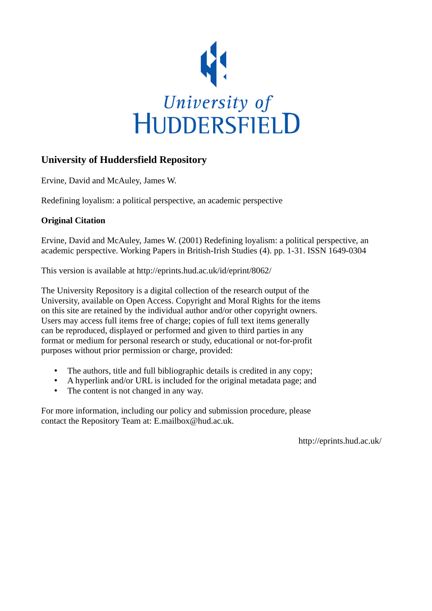

### **University of Huddersfield Repository**

Ervine, David and McAuley, James W.

Redefining loyalism: a political perspective, an academic perspective

#### **Original Citation**

Ervine, David and McAuley, James W. (2001) Redefining loyalism: a political perspective, an academic perspective. Working Papers in British-Irish Studies (4). pp. 1-31. ISSN 1649-0304

This version is available at http://eprints.hud.ac.uk/id/eprint/8062/

The University Repository is a digital collection of the research output of the University, available on Open Access. Copyright and Moral Rights for the items on this site are retained by the individual author and/or other copyright owners. Users may access full items free of charge; copies of full text items generally can be reproduced, displayed or performed and given to third parties in any format or medium for personal research or study, educational or not-for-profit purposes without prior permission or charge, provided:

- The authors, title and full bibliographic details is credited in any copy;
- A hyperlink and/or URL is included for the original metadata page; and
- The content is not changed in any way.

For more information, including our policy and submission procedure, please contact the Repository Team at: E.mailbox@hud.ac.uk.

http://eprints.hud.ac.uk/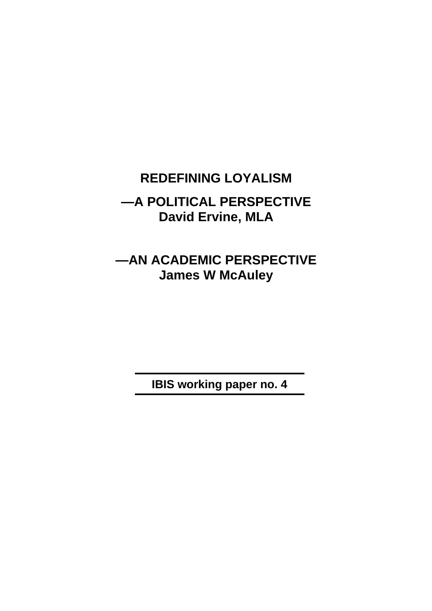# **REDEFINING LOYALISM**

# **—A POLITICAL PERSPECTIVE David Ervine, MLA**

**—AN ACADEMIC PERSPECTIVE James W McAuley** 

**IBIS working paper no. 4**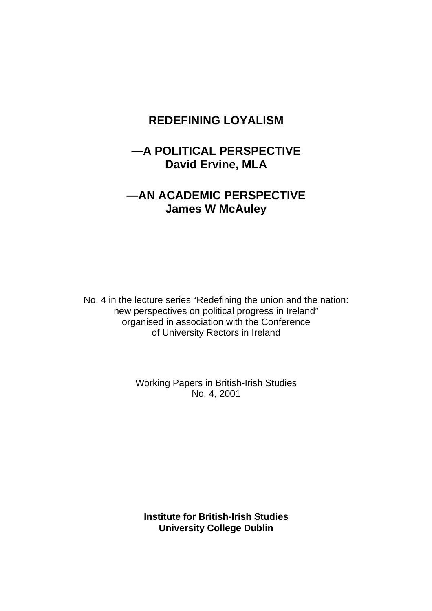# **REDEFINING LOYALISM**

# **—A POLITICAL PERSPECTIVE David Ervine, MLA**

# **—AN ACADEMIC PERSPECTIVE James W McAuley**

No. 4 in the lecture series "Redefining the union and the nation: new perspectives on political progress in Ireland" organised in association with the Conference of University Rectors in Ireland

> Working Papers in British-Irish Studies No. 4, 2001

**Institute for British-Irish Studies University College Dublin**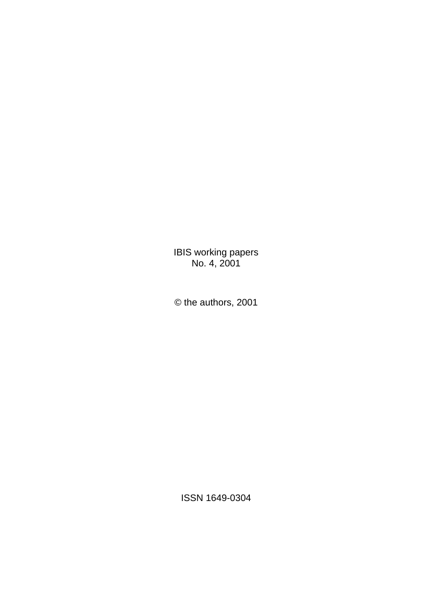IBIS working papers No. 4, 2001

© the authors, 2001

ISSN 1649-0304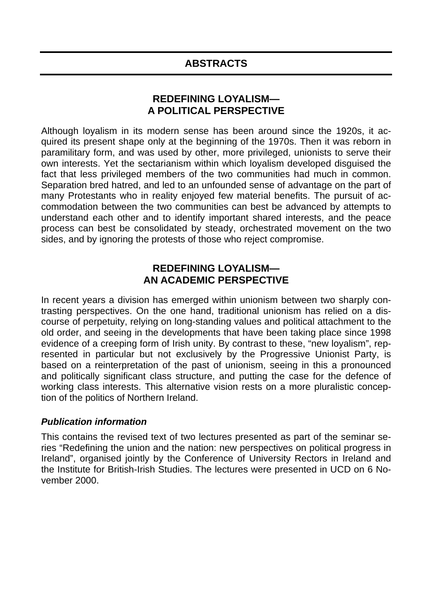# **REDEFINING LOYALISM— A POLITICAL PERSPECTIVE**

Although loyalism in its modern sense has been around since the 1920s, it acquired its present shape only at the beginning of the 1970s. Then it was reborn in paramilitary form, and was used by other, more privileged, unionists to serve their own interests. Yet the sectarianism within which loyalism developed disguised the fact that less privileged members of the two communities had much in common. Separation bred hatred, and led to an unfounded sense of advantage on the part of many Protestants who in reality enjoyed few material benefits. The pursuit of accommodation between the two communities can best be advanced by attempts to understand each other and to identify important shared interests, and the peace process can best be consolidated by steady, orchestrated movement on the two sides, and by ignoring the protests of those who reject compromise.

# **REDEFINING LOYALISM— AN ACADEMIC PERSPECTIVE**

In recent years a division has emerged within unionism between two sharply contrasting perspectives. On the one hand, traditional unionism has relied on a discourse of perpetuity, relying on long-standing values and political attachment to the old order, and seeing in the developments that have been taking place since 1998 evidence of a creeping form of Irish unity. By contrast to these, "new loyalism", represented in particular but not exclusively by the Progressive Unionist Party, is based on a reinterpretation of the past of unionism, seeing in this a pronounced and politically significant class structure, and putting the case for the defence of working class interests. This alternative vision rests on a more pluralistic conception of the politics of Northern Ireland.

#### *Publication information*

This contains the revised text of two lectures presented as part of the seminar series "Redefining the union and the nation: new perspectives on political progress in Ireland", organised jointly by the Conference of University Rectors in Ireland and the Institute for British-Irish Studies. The lectures were presented in UCD on 6 November 2000.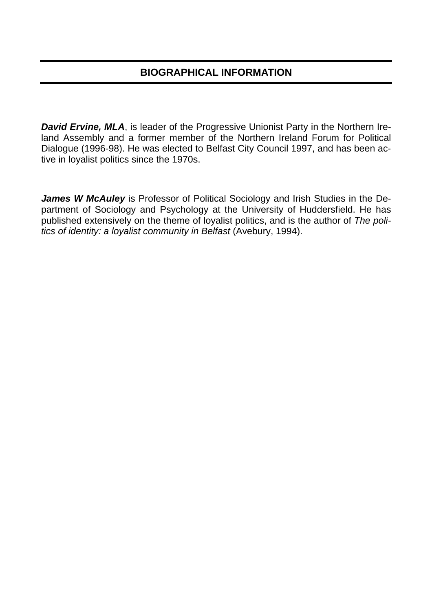**David Ervine, MLA**, is leader of the Progressive Unionist Party in the Northern Ireland Assembly and a former member of the Northern Ireland Forum for Political Dialogue (1996-98). He was elected to Belfast City Council 1997, and has been active in loyalist politics since the 1970s.

*James W McAuley* is Professor of Political Sociology and Irish Studies in the Department of Sociology and Psychology at the University of Huddersfield. He has published extensively on the theme of loyalist politics, and is the author of *The politics of identity: a loyalist community in Belfast* (Avebury, 1994).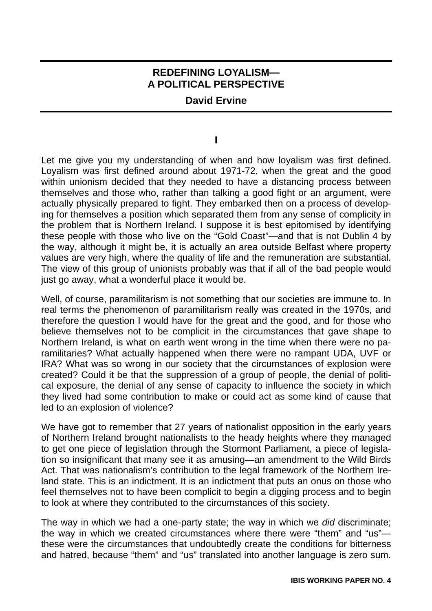# **REDEFINING LOYALISM— A POLITICAL PERSPECTIVE**

#### **David Ervine**

**I** 

Let me give you my understanding of when and how loyalism was first defined. Loyalism was first defined around about 1971-72, when the great and the good within unionism decided that they needed to have a distancing process between themselves and those who, rather than talking a good fight or an argument, were actually physically prepared to fight. They embarked then on a process of developing for themselves a position which separated them from any sense of complicity in the problem that is Northern Ireland. I suppose it is best epitomised by identifying these people with those who live on the "Gold Coast"—and that is not Dublin 4 by the way, although it might be, it is actually an area outside Belfast where property values are very high, where the quality of life and the remuneration are substantial. The view of this group of unionists probably was that if all of the bad people would just go away, what a wonderful place it would be.

Well, of course, paramilitarism is not something that our societies are immune to. In real terms the phenomenon of paramilitarism really was created in the 1970s, and therefore the question I would have for the great and the good, and for those who believe themselves not to be complicit in the circumstances that gave shape to Northern Ireland, is what on earth went wrong in the time when there were no paramilitaries? What actually happened when there were no rampant UDA, UVF or IRA? What was so wrong in our society that the circumstances of explosion were created? Could it be that the suppression of a group of people, the denial of political exposure, the denial of any sense of capacity to influence the society in which they lived had some contribution to make or could act as some kind of cause that led to an explosion of violence?

We have got to remember that 27 years of nationalist opposition in the early years of Northern Ireland brought nationalists to the heady heights where they managed to get one piece of legislation through the Stormont Parliament, a piece of legislation so insignificant that many see it as amusing—an amendment to the Wild Birds Act. That was nationalism's contribution to the legal framework of the Northern Ireland state. This is an indictment. It is an indictment that puts an onus on those who feel themselves not to have been complicit to begin a digging process and to begin to look at where they contributed to the circumstances of this society.

The way in which we had a one-party state; the way in which we *did* discriminate; the way in which we created circumstances where there were "them" and "us" these were the circumstances that undoubtedly create the conditions for bitterness and hatred, because "them" and "us" translated into another language is zero sum.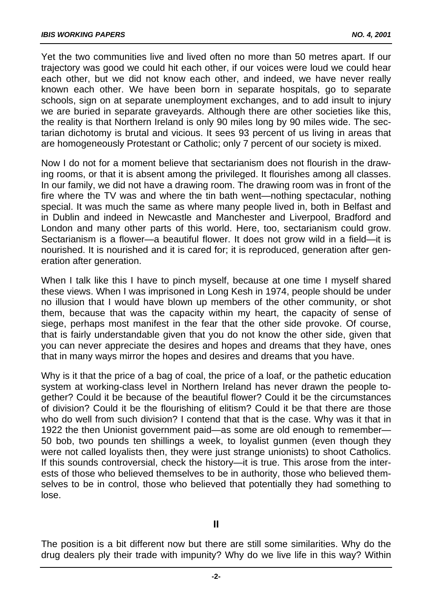Yet the two communities live and lived often no more than 50 metres apart. If our trajectory was good we could hit each other, if our voices were loud we could hear each other, but we did not know each other, and indeed, we have never really known each other. We have been born in separate hospitals, go to separate schools, sign on at separate unemployment exchanges, and to add insult to injury we are buried in separate graveyards. Although there are other societies like this, the reality is that Northern Ireland is only 90 miles long by 90 miles wide. The sectarian dichotomy is brutal and vicious. It sees 93 percent of us living in areas that are homogeneously Protestant or Catholic; only 7 percent of our society is mixed.

Now I do not for a moment believe that sectarianism does not flourish in the drawing rooms, or that it is absent among the privileged. It flourishes among all classes. In our family, we did not have a drawing room. The drawing room was in front of the fire where the TV was and where the tin bath went—nothing spectacular, nothing special. It was much the same as where many people lived in, both in Belfast and in Dublin and indeed in Newcastle and Manchester and Liverpool, Bradford and London and many other parts of this world. Here, too, sectarianism could grow. Sectarianism is a flower—a beautiful flower. It does not grow wild in a field—it is nourished. It is nourished and it is cared for; it is reproduced, generation after generation after generation.

When I talk like this I have to pinch myself, because at one time I myself shared these views. When I was imprisoned in Long Kesh in 1974, people should be under no illusion that I would have blown up members of the other community, or shot them, because that was the capacity within my heart, the capacity of sense of siege, perhaps most manifest in the fear that the other side provoke. Of course, that is fairly understandable given that you do not know the other side, given that you can never appreciate the desires and hopes and dreams that they have, ones that in many ways mirror the hopes and desires and dreams that you have.

Why is it that the price of a bag of coal, the price of a loaf, or the pathetic education system at working-class level in Northern Ireland has never drawn the people together? Could it be because of the beautiful flower? Could it be the circumstances of division? Could it be the flourishing of elitism? Could it be that there are those who do well from such division? I contend that that is the case. Why was it that in 1922 the then Unionist government paid—as some are old enough to remember— 50 bob, two pounds ten shillings a week, to loyalist gunmen (even though they were not called loyalists then, they were just strange unionists) to shoot Catholics. If this sounds controversial, check the history—it is true. This arose from the interests of those who believed themselves to be in authority, those who believed themselves to be in control, those who believed that potentially they had something to lose.

#### **II**

The position is a bit different now but there are still some similarities. Why do the drug dealers ply their trade with impunity? Why do we live life in this way? Within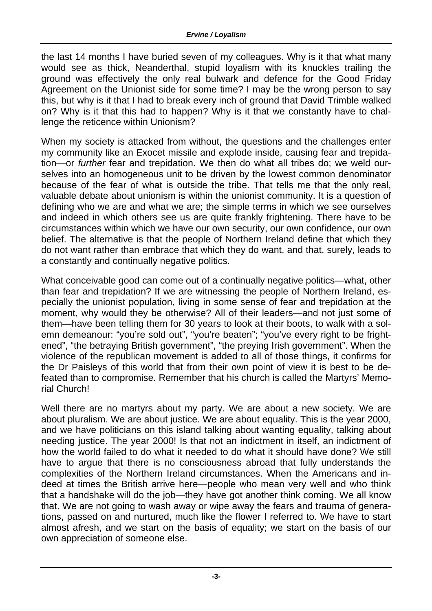the last 14 months I have buried seven of my colleagues. Why is it that what many would see as thick, Neanderthal, stupid loyalism with its knuckles trailing the ground was effectively the only real bulwark and defence for the Good Friday Agreement on the Unionist side for some time? I may be the wrong person to say this, but why is it that I had to break every inch of ground that David Trimble walked on? Why is it that this had to happen? Why is it that we constantly have to challenge the reticence within Unionism?

When my society is attacked from without, the questions and the challenges enter my community like an Exocet missile and explode inside, causing fear and trepidation—or *further* fear and trepidation. We then do what all tribes do; we weld ourselves into an homogeneous unit to be driven by the lowest common denominator because of the fear of what is outside the tribe. That tells me that the only real, valuable debate about unionism is within the unionist community. It is a question of defining who we are and what we are; the simple terms in which we see ourselves and indeed in which others see us are quite frankly frightening. There have to be circumstances within which we have our own security, our own confidence, our own belief. The alternative is that the people of Northern Ireland define that which they do not want rather than embrace that which they do want, and that, surely, leads to a constantly and continually negative politics.

What conceivable good can come out of a continually negative politics—what, other than fear and trepidation? If we are witnessing the people of Northern Ireland, especially the unionist population, living in some sense of fear and trepidation at the moment, why would they be otherwise? All of their leaders—and not just some of them—have been telling them for 30 years to look at their boots, to walk with a solemn demeanour: "you're sold out", "you're beaten"; "you've every right to be frightened", "the betraying British government", "the preying Irish government". When the violence of the republican movement is added to all of those things, it confirms for the Dr Paisleys of this world that from their own point of view it is best to be defeated than to compromise. Remember that his church is called the Martyrs' Memorial Church!

Well there are no martyrs about my party. We are about a new society. We are about pluralism. We are about justice. We are about equality. This is the year 2000, and we have politicians on this island talking about wanting equality, talking about needing justice. The year 2000! Is that not an indictment in itself, an indictment of how the world failed to do what it needed to do what it should have done? We still have to argue that there is no consciousness abroad that fully understands the complexities of the Northern Ireland circumstances. When the Americans and indeed at times the British arrive here—people who mean very well and who think that a handshake will do the job—they have got another think coming. We all know that. We are not going to wash away or wipe away the fears and trauma of generations, passed on and nurtured, much like the flower I referred to. We have to start almost afresh, and we start on the basis of equality; we start on the basis of our own appreciation of someone else.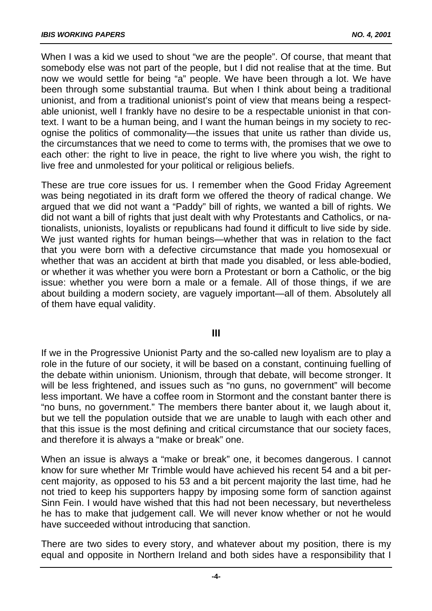When I was a kid we used to shout "we are the people". Of course, that meant that somebody else was not part of the people, but I did not realise that at the time. But now we would settle for being "a" people. We have been through a lot. We have been through some substantial trauma. But when I think about being a traditional unionist, and from a traditional unionist's point of view that means being a respectable unionist, well I frankly have no desire to be a respectable unionist in that context. I want to be a human being, and I want the human beings in my society to recognise the politics of commonality—the issues that unite us rather than divide us, the circumstances that we need to come to terms with, the promises that we owe to each other: the right to live in peace, the right to live where you wish, the right to live free and unmolested for your political or religious beliefs.

These are true core issues for us. I remember when the Good Friday Agreement was being negotiated in its draft form we offered the theory of radical change. We argued that we did not want a "Paddy" bill of rights, we wanted a bill of rights. We did not want a bill of rights that just dealt with why Protestants and Catholics, or nationalists, unionists, loyalists or republicans had found it difficult to live side by side. We just wanted rights for human beings—whether that was in relation to the fact that you were born with a defective circumstance that made you homosexual or whether that was an accident at birth that made you disabled, or less able-bodied, or whether it was whether you were born a Protestant or born a Catholic, or the big issue: whether you were born a male or a female. All of those things, if we are about building a modern society, are vaguely important—all of them. Absolutely all of them have equal validity.

#### **III**

If we in the Progressive Unionist Party and the so-called new loyalism are to play a role in the future of our society, it will be based on a constant, continuing fuelling of the debate within unionism. Unionism, through that debate, will become stronger. It will be less frightened, and issues such as "no guns, no government" will become less important. We have a coffee room in Stormont and the constant banter there is "no buns, no government." The members there banter about it, we laugh about it, but we tell the population outside that we are unable to laugh with each other and that this issue is the most defining and critical circumstance that our society faces, and therefore it is always a "make or break" one.

When an issue is always a "make or break" one, it becomes dangerous. I cannot know for sure whether Mr Trimble would have achieved his recent 54 and a bit percent majority, as opposed to his 53 and a bit percent majority the last time, had he not tried to keep his supporters happy by imposing some form of sanction against Sinn Fein. I would have wished that this had not been necessary, but nevertheless he has to make that judgement call. We will never know whether or not he would have succeeded without introducing that sanction.

There are two sides to every story, and whatever about my position, there is my equal and opposite in Northern Ireland and both sides have a responsibility that I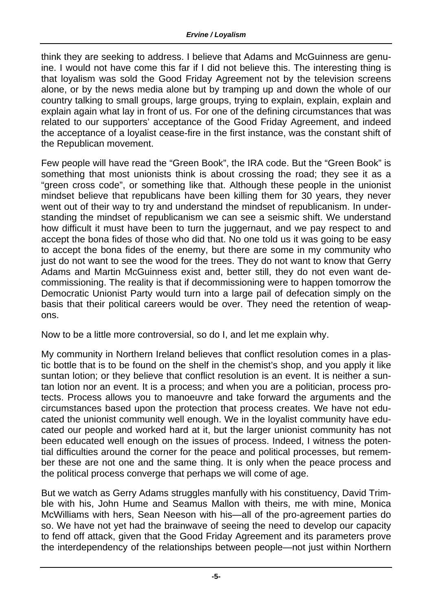think they are seeking to address. I believe that Adams and McGuinness are genuine. I would not have come this far if I did not believe this. The interesting thing is that loyalism was sold the Good Friday Agreement not by the television screens alone, or by the news media alone but by tramping up and down the whole of our country talking to small groups, large groups, trying to explain, explain, explain and explain again what lay in front of us. For one of the defining circumstances that was related to our supporters' acceptance of the Good Friday Agreement, and indeed the acceptance of a loyalist cease-fire in the first instance, was the constant shift of the Republican movement.

Few people will have read the "Green Book", the IRA code. But the "Green Book" is something that most unionists think is about crossing the road; they see it as a "green cross code", or something like that. Although these people in the unionist mindset believe that republicans have been killing them for 30 years, they never went out of their way to try and understand the mindset of republicanism. In understanding the mindset of republicanism we can see a seismic shift. We understand how difficult it must have been to turn the juggernaut, and we pay respect to and accept the bona fides of those who did that. No one told us it was going to be easy to accept the bona fides of the enemy, but there are some in my community who just do not want to see the wood for the trees. They do not want to know that Gerry Adams and Martin McGuinness exist and, better still, they do not even want decommissioning. The reality is that if decommissioning were to happen tomorrow the Democratic Unionist Party would turn into a large pail of defecation simply on the basis that their political careers would be over. They need the retention of weapons.

Now to be a little more controversial, so do I, and let me explain why.

My community in Northern Ireland believes that conflict resolution comes in a plastic bottle that is to be found on the shelf in the chemist's shop, and you apply it like suntan lotion; or they believe that conflict resolution is an event. It is neither a suntan lotion nor an event. It is a process; and when you are a politician, process protects. Process allows you to manoeuvre and take forward the arguments and the circumstances based upon the protection that process creates. We have not educated the unionist community well enough. We in the loyalist community have educated our people and worked hard at it, but the larger unionist community has not been educated well enough on the issues of process. Indeed, I witness the potential difficulties around the corner for the peace and political processes, but remember these are not one and the same thing. It is only when the peace process and the political process converge that perhaps we will come of age.

But we watch as Gerry Adams struggles manfully with his constituency, David Trimble with his, John Hume and Seamus Mallon with theirs, me with mine, Monica McWilliams with hers, Sean Neeson with his—all of the pro-agreement parties do so. We have not yet had the brainwave of seeing the need to develop our capacity to fend off attack, given that the Good Friday Agreement and its parameters prove the interdependency of the relationships between people—not just within Northern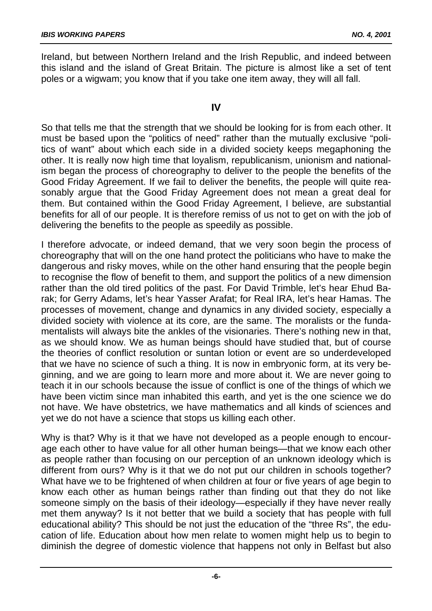Ireland, but between Northern Ireland and the Irish Republic, and indeed between this island and the island of Great Britain. The picture is almost like a set of tent poles or a wigwam; you know that if you take one item away, they will all fall.

#### **IV**

So that tells me that the strength that we should be looking for is from each other. It must be based upon the "politics of need" rather than the mutually exclusive "politics of want" about which each side in a divided society keeps megaphoning the other. It is really now high time that loyalism, republicanism, unionism and nationalism began the process of choreography to deliver to the people the benefits of the Good Friday Agreement. If we fail to deliver the benefits, the people will quite reasonably argue that the Good Friday Agreement does not mean a great deal for them. But contained within the Good Friday Agreement, I believe, are substantial benefits for all of our people. It is therefore remiss of us not to get on with the job of delivering the benefits to the people as speedily as possible.

I therefore advocate, or indeed demand, that we very soon begin the process of choreography that will on the one hand protect the politicians who have to make the dangerous and risky moves, while on the other hand ensuring that the people begin to recognise the flow of benefit to them, and support the politics of a new dimension rather than the old tired politics of the past. For David Trimble, let's hear Ehud Barak; for Gerry Adams, let's hear Yasser Arafat; for Real IRA, let's hear Hamas. The processes of movement, change and dynamics in any divided society, especially a divided society with violence at its core, are the same. The moralists or the fundamentalists will always bite the ankles of the visionaries. There's nothing new in that, as we should know. We as human beings should have studied that, but of course the theories of conflict resolution or suntan lotion or event are so underdeveloped that we have no science of such a thing. It is now in embryonic form, at its very beginning, and we are going to learn more and more about it. We are never going to teach it in our schools because the issue of conflict is one of the things of which we have been victim since man inhabited this earth, and yet is the one science we do not have. We have obstetrics, we have mathematics and all kinds of sciences and yet we do not have a science that stops us killing each other.

Why is that? Why is it that we have not developed as a people enough to encourage each other to have value for all other human beings—that we know each other as people rather than focusing on our perception of an unknown ideology which is different from ours? Why is it that we do not put our children in schools together? What have we to be frightened of when children at four or five years of age begin to know each other as human beings rather than finding out that they do not like someone simply on the basis of their ideology—especially if they have never really met them anyway? Is it not better that we build a society that has people with full educational ability? This should be not just the education of the "three Rs", the education of life. Education about how men relate to women might help us to begin to diminish the degree of domestic violence that happens not only in Belfast but also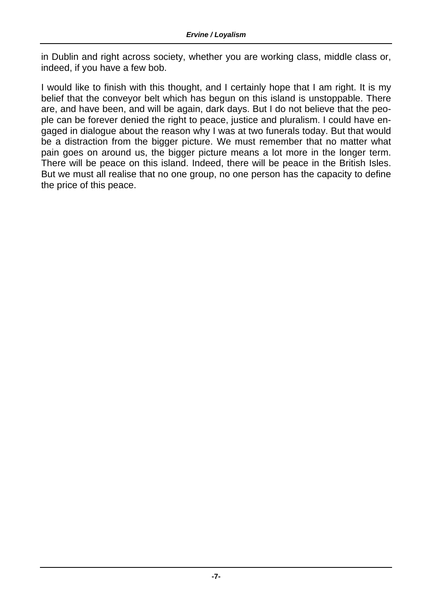in Dublin and right across society, whether you are working class, middle class or, indeed, if you have a few bob.

I would like to finish with this thought, and I certainly hope that I am right. It is my belief that the conveyor belt which has begun on this island is unstoppable. There are, and have been, and will be again, dark days. But I do not believe that the people can be forever denied the right to peace, justice and pluralism. I could have engaged in dialogue about the reason why I was at two funerals today. But that would be a distraction from the bigger picture. We must remember that no matter what pain goes on around us, the bigger picture means a lot more in the longer term. There will be peace on this island. Indeed, there will be peace in the British Isles. But we must all realise that no one group, no one person has the capacity to define the price of this peace.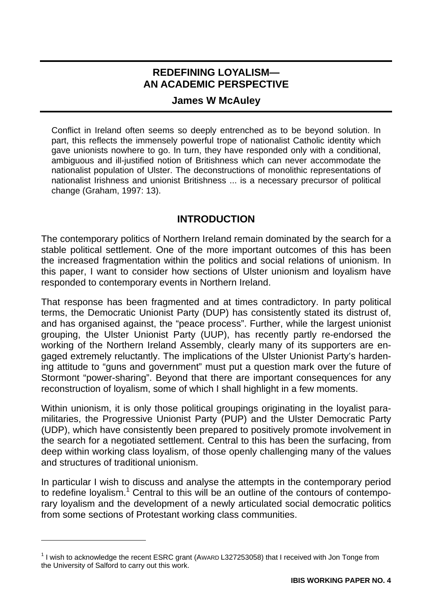# **REDEFINING LOYALISM— AN ACADEMIC PERSPECTIVE**

#### **James W McAuley**

Conflict in Ireland often seems so deeply entrenched as to be beyond solution. In part, this reflects the immensely powerful trope of nationalist Catholic identity which gave unionists nowhere to go. In turn, they have responded only with a conditional, ambiguous and ill-justified notion of Britishness which can never accommodate the nationalist population of Ulster. The deconstructions of monolithic representations of nationalist Irishness and unionist Britishness ... is a necessary precursor of political change (Graham, 1997: 13).

# **INTRODUCTION**

The contemporary politics of Northern Ireland remain dominated by the search for a stable political settlement. One of the more important outcomes of this has been the increased fragmentation within the politics and social relations of unionism. In this paper, I want to consider how sections of Ulster unionism and loyalism have responded to contemporary events in Northern Ireland.

That response has been fragmented and at times contradictory. In party political terms, the Democratic Unionist Party (DUP) has consistently stated its distrust of, and has organised against, the "peace process". Further, while the largest unionist grouping, the Ulster Unionist Party (UUP), has recently partly re-endorsed the working of the Northern Ireland Assembly, clearly many of its supporters are engaged extremely reluctantly. The implications of the Ulster Unionist Party's hardening attitude to "guns and government" must put a question mark over the future of Stormont "power-sharing". Beyond that there are important consequences for any reconstruction of loyalism, some of which I shall highlight in a few moments.

Within unionism, it is only those political groupings originating in the loyalist paramilitaries, the Progressive Unionist Party (PUP) and the Ulster Democratic Party (UDP), which have consistently been prepared to positively promote involvement in the search for a negotiated settlement. Central to this has been the surfacing, from deep within working class loyalism, of those openly challenging many of the values and structures of traditional unionism.

In particular I wish to discuss and analyse the attempts in the contemporary period to redefine loyalism.<sup>1</sup> Central to this will be an outline of the contours of contemporary loyalism and the development of a newly articulated social democratic politics from some sections of Protestant working class communities.

 $1$  I wish to acknowledge the recent ESRC grant (AWARD L327253058) that I received with Jon Tonge from the University of Salford to carry out this work.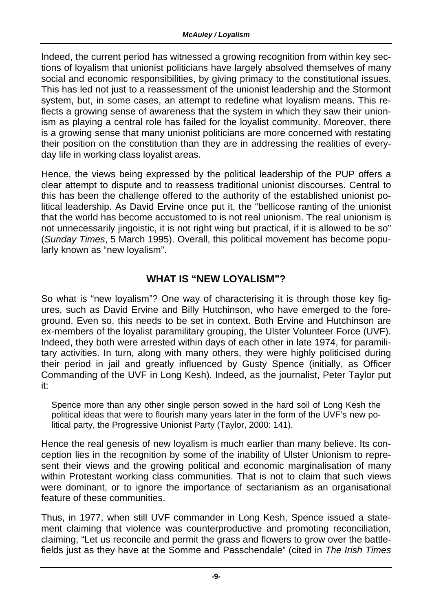Indeed, the current period has witnessed a growing recognition from within key sections of loyalism that unionist politicians have largely absolved themselves of many social and economic responsibilities, by giving primacy to the constitutional issues. This has led not just to a reassessment of the unionist leadership and the Stormont system, but, in some cases, an attempt to redefine what loyalism means. This reflects a growing sense of awareness that the system in which they saw their unionism as playing a central role has failed for the loyalist community. Moreover, there is a growing sense that many unionist politicians are more concerned with restating their position on the constitution than they are in addressing the realities of everyday life in working class loyalist areas.

Hence, the views being expressed by the political leadership of the PUP offers a clear attempt to dispute and to reassess traditional unionist discourses. Central to this has been the challenge offered to the authority of the established unionist political leadership. As David Ervine once put it, the "bellicose ranting of the unionist that the world has become accustomed to is not real unionism. The real unionism is not unnecessarily jingoistic, it is not right wing but practical, if it is allowed to be so" (*Sunday Times*, 5 March 1995). Overall, this political movement has become popularly known as "new loyalism".

# **WHAT IS "NEW LOYALISM"?**

So what is "new loyalism"? One way of characterising it is through those key figures, such as David Ervine and Billy Hutchinson, who have emerged to the foreground. Even so, this needs to be set in context. Both Ervine and Hutchinson are ex-members of the loyalist paramilitary grouping, the Ulster Volunteer Force (UVF). Indeed, they both were arrested within days of each other in late 1974, for paramilitary activities. In turn, along with many others, they were highly politicised during their period in jail and greatly influenced by Gusty Spence (initially, as Officer Commanding of the UVF in Long Kesh). Indeed, as the journalist, Peter Taylor put it:

Spence more than any other single person sowed in the hard soil of Long Kesh the political ideas that were to flourish many years later in the form of the UVF's new political party, the Progressive Unionist Party (Taylor, 2000: 141).

Hence the real genesis of new loyalism is much earlier than many believe. Its conception lies in the recognition by some of the inability of Ulster Unionism to represent their views and the growing political and economic marginalisation of many within Protestant working class communities. That is not to claim that such views were dominant, or to ignore the importance of sectarianism as an organisational feature of these communities.

Thus, in 1977, when still UVF commander in Long Kesh, Spence issued a statement claiming that violence was counterproductive and promoting reconciliation, claiming, "Let us reconcile and permit the grass and flowers to grow over the battlefields just as they have at the Somme and Passchendale" (cited in *The Irish Times*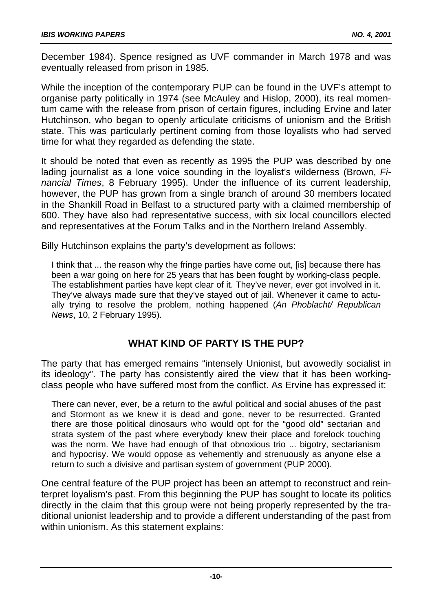December 1984). Spence resigned as UVF commander in March 1978 and was eventually released from prison in 1985.

While the inception of the contemporary PUP can be found in the UVF's attempt to organise party politically in 1974 (see McAuley and Hislop, 2000), its real momentum came with the release from prison of certain figures, including Ervine and later Hutchinson, who began to openly articulate criticisms of unionism and the British state. This was particularly pertinent coming from those loyalists who had served time for what they regarded as defending the state.

It should be noted that even as recently as 1995 the PUP was described by one lading journalist as a lone voice sounding in the loyalist's wilderness (Brown, *Financial Times*, 8 February 1995). Under the influence of its current leadership, however, the PUP has grown from a single branch of around 30 members located in the Shankill Road in Belfast to a structured party with a claimed membership of 600. They have also had representative success, with six local councillors elected and representatives at the Forum Talks and in the Northern Ireland Assembly.

Billy Hutchinson explains the party's development as follows:

I think that ... the reason why the fringe parties have come out, [is] because there has been a war going on here for 25 years that has been fought by working-class people. The establishment parties have kept clear of it. They've never, ever got involved in it. They've always made sure that they've stayed out of jail. Whenever it came to actually trying to resolve the problem, nothing happened (*An Phoblacht/ Republican News*, 10, 2 February 1995).

# **WHAT KIND OF PARTY IS THE PUP?**

The party that has emerged remains "intensely Unionist, but avowedly socialist in its ideology". The party has consistently aired the view that it has been workingclass people who have suffered most from the conflict. As Ervine has expressed it:

There can never, ever, be a return to the awful political and social abuses of the past and Stormont as we knew it is dead and gone, never to be resurrected. Granted there are those political dinosaurs who would opt for the "good old" sectarian and strata system of the past where everybody knew their place and forelock touching was the norm. We have had enough of that obnoxious trio ... bigotry, sectarianism and hypocrisy. We would oppose as vehemently and strenuously as anyone else a return to such a divisive and partisan system of government (PUP 2000).

One central feature of the PUP project has been an attempt to reconstruct and reinterpret loyalism's past. From this beginning the PUP has sought to locate its politics directly in the claim that this group were not being properly represented by the traditional unionist leadership and to provide a different understanding of the past from within unionism. As this statement explains: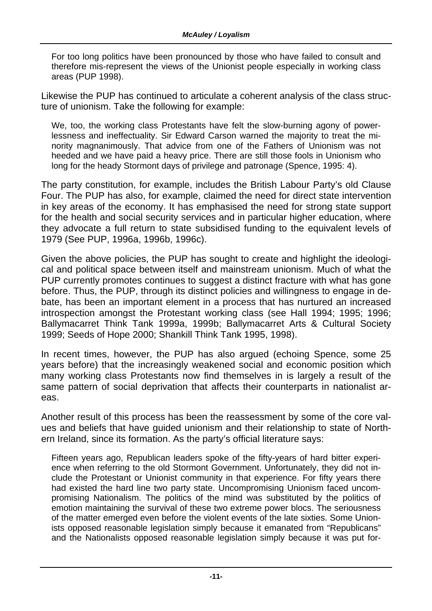For too long politics have been pronounced by those who have failed to consult and therefore mis-represent the views of the Unionist people especially in working class areas (PUP 1998).

Likewise the PUP has continued to articulate a coherent analysis of the class structure of unionism. Take the following for example:

We, too, the working class Protestants have felt the slow-burning agony of powerlessness and ineffectuality. Sir Edward Carson warned the majority to treat the minority magnanimously. That advice from one of the Fathers of Unionism was not heeded and we have paid a heavy price. There are still those fools in Unionism who long for the heady Stormont days of privilege and patronage (Spence, 1995: 4).

The party constitution, for example, includes the British Labour Party's old Clause Four. The PUP has also, for example, claimed the need for direct state intervention in key areas of the economy. It has emphasised the need for strong state support for the health and social security services and in particular higher education, where they advocate a full return to state subsidised funding to the equivalent levels of 1979 (See PUP, 1996a, 1996b, 1996c).

Given the above policies, the PUP has sought to create and highlight the ideological and political space between itself and mainstream unionism. Much of what the PUP currently promotes continues to suggest a distinct fracture with what has gone before. Thus, the PUP, through its distinct policies and willingness to engage in debate, has been an important element in a process that has nurtured an increased introspection amongst the Protestant working class (see Hall 1994; 1995; 1996; Ballymacarret Think Tank 1999a, 1999b; Ballymacarret Arts & Cultural Society 1999; Seeds of Hope 2000; Shankill Think Tank 1995, 1998).

In recent times, however, the PUP has also argued (echoing Spence, some 25 years before) that the increasingly weakened social and economic position which many working class Protestants now find themselves in is largely a result of the same pattern of social deprivation that affects their counterparts in nationalist areas.

Another result of this process has been the reassessment by some of the core values and beliefs that have guided unionism and their relationship to state of Northern Ireland, since its formation. As the party's official literature says:

Fifteen years ago, Republican leaders spoke of the fifty-years of hard bitter experience when referring to the old Stormont Government. Unfortunately, they did not include the Protestant or Unionist community in that experience. For fifty years there had existed the hard line two party state. Uncompromising Unionism faced uncompromising Nationalism. The politics of the mind was substituted by the politics of emotion maintaining the survival of these two extreme power blocs. The seriousness of the matter emerged even before the violent events of the late sixties. Some Unionists opposed reasonable legislation simply because it emanated from "Republicans" and the Nationalists opposed reasonable legislation simply because it was put for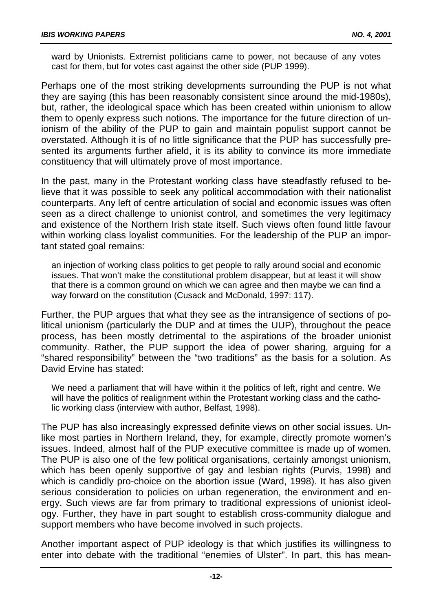ward by Unionists. Extremist politicians came to power, not because of any votes cast for them, but for votes cast against the other side (PUP 1999).

Perhaps one of the most striking developments surrounding the PUP is not what they are saying (this has been reasonably consistent since around the mid-1980s), but, rather, the ideological space which has been created within unionism to allow them to openly express such notions. The importance for the future direction of unionism of the ability of the PUP to gain and maintain populist support cannot be overstated. Although it is of no little significance that the PUP has successfully presented its arguments further afield, it is its ability to convince its more immediate constituency that will ultimately prove of most importance.

In the past, many in the Protestant working class have steadfastly refused to believe that it was possible to seek any political accommodation with their nationalist counterparts. Any left of centre articulation of social and economic issues was often seen as a direct challenge to unionist control, and sometimes the very legitimacy and existence of the Northern Irish state itself. Such views often found little favour within working class loyalist communities. For the leadership of the PUP an important stated goal remains:

an injection of working class politics to get people to rally around social and economic issues. That won't make the constitutional problem disappear, but at least it will show that there is a common ground on which we can agree and then maybe we can find a way forward on the constitution (Cusack and McDonald, 1997: 117).

Further, the PUP argues that what they see as the intransigence of sections of political unionism (particularly the DUP and at times the UUP), throughout the peace process, has been mostly detrimental to the aspirations of the broader unionist community. Rather, the PUP support the idea of power sharing, arguing for a "shared responsibility" between the "two traditions" as the basis for a solution. As David Ervine has stated:

We need a parliament that will have within it the politics of left, right and centre. We will have the politics of realignment within the Protestant working class and the catholic working class (interview with author, Belfast, 1998).

The PUP has also increasingly expressed definite views on other social issues. Unlike most parties in Northern Ireland, they, for example, directly promote women's issues. Indeed, almost half of the PUP executive committee is made up of women. The PUP is also one of the few political organisations, certainly amongst unionism, which has been openly supportive of gay and lesbian rights (Purvis, 1998) and which is candidly pro-choice on the abortion issue (Ward, 1998). It has also given serious consideration to policies on urban regeneration, the environment and energy. Such views are far from primary to traditional expressions of unionist ideology. Further, they have in part sought to establish cross-community dialogue and support members who have become involved in such projects.

Another important aspect of PUP ideology is that which justifies its willingness to enter into debate with the traditional "enemies of Ulster". In part, this has mean-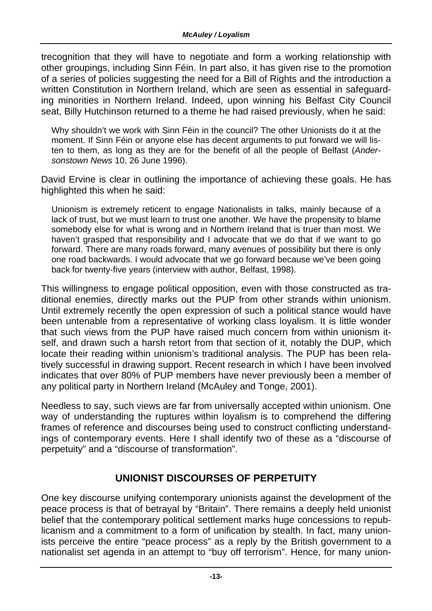trecognition that they will have to negotiate and form a working relationship with other groupings, including Sinn Féin. In part also, it has given rise to the promotion of a series of policies suggesting the need for a Bill of Rights and the introduction a written Constitution in Northern Ireland, which are seen as essential in safeguarding minorities in Northern Ireland. Indeed, upon winning his Belfast City Council seat, Billy Hutchinson returned to a theme he had raised previously, when he said:

Why shouldn't we work with Sinn Féin in the council? The other Unionists do it at the moment. If Sinn Féin or anyone else has decent arguments to put forward we will listen to them, as long as they are for the benefit of all the people of Belfast (*Andersonstown News* 10, 26 June 1996).

David Ervine is clear in outlining the importance of achieving these goals. He has highlighted this when he said:

Unionism is extremely reticent to engage Nationalists in talks, mainly because of a lack of trust, but we must learn to trust one another. We have the propensity to blame somebody else for what is wrong and in Northern Ireland that is truer than most. We haven't grasped that responsibility and I advocate that we do that if we want to go forward. There are many roads forward, many avenues of possibility but there is only one road backwards. I would advocate that we go forward because we've been going back for twenty-five years (interview with author, Belfast, 1998).

This willingness to engage political opposition, even with those constructed as traditional enemies, directly marks out the PUP from other strands within unionism. Until extremely recently the open expression of such a political stance would have been untenable from a representative of working class loyalism. It is little wonder that such views from the PUP have raised much concern from within unionism itself, and drawn such a harsh retort from that section of it, notably the DUP, which locate their reading within unionism's traditional analysis. The PUP has been relatively successful in drawing support. Recent research in which I have been involved indicates that over 80% of PUP members have never previously been a member of any political party in Northern Ireland (McAuley and Tonge, 2001).

Needless to say, such views are far from universally accepted within unionism. One way of understanding the ruptures within loyalism is to comprehend the differing frames of reference and discourses being used to construct conflicting understandings of contemporary events. Here I shall identify two of these as a "discourse of perpetuity" and a "discourse of transformation".

# **UNIONIST DISCOURSES OF PERPETUITY**

One key discourse unifying contemporary unionists against the development of the peace process is that of betrayal by "Britain". There remains a deeply held unionist belief that the contemporary political settlement marks huge concessions to republicanism and a commitment to a form of unification by stealth. In fact, many unionists perceive the entire "peace process" as a reply by the British government to a nationalist set agenda in an attempt to "buy off terrorism". Hence, for many union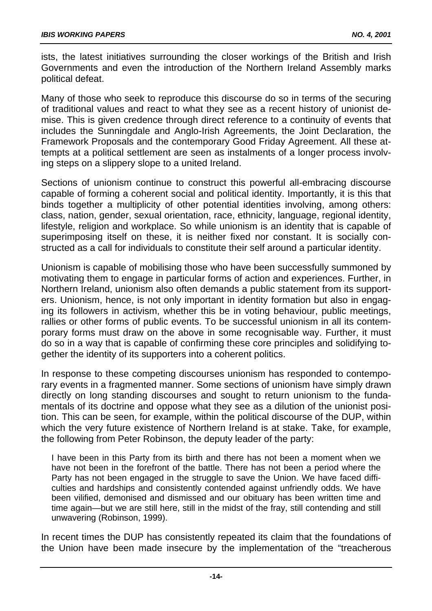ists, the latest initiatives surrounding the closer workings of the British and Irish Governments and even the introduction of the Northern Ireland Assembly marks political defeat.

Many of those who seek to reproduce this discourse do so in terms of the securing of traditional values and react to what they see as a recent history of unionist demise. This is given credence through direct reference to a continuity of events that includes the Sunningdale and Anglo-Irish Agreements, the Joint Declaration, the Framework Proposals and the contemporary Good Friday Agreement. All these attempts at a political settlement are seen as instalments of a longer process involving steps on a slippery slope to a united Ireland.

Sections of unionism continue to construct this powerful all-embracing discourse capable of forming a coherent social and political identity. Importantly, it is this that binds together a multiplicity of other potential identities involving, among others: class, nation, gender, sexual orientation, race, ethnicity, language, regional identity, lifestyle, religion and workplace. So while unionism is an identity that is capable of superimposing itself on these, it is neither fixed nor constant. It is socially constructed as a call for individuals to constitute their self around a particular identity.

Unionism is capable of mobilising those who have been successfully summoned by motivating them to engage in particular forms of action and experiences. Further, in Northern Ireland, unionism also often demands a public statement from its supporters. Unionism, hence, is not only important in identity formation but also in engaging its followers in activism, whether this be in voting behaviour, public meetings, rallies or other forms of public events. To be successful unionism in all its contemporary forms must draw on the above in some recognisable way. Further, it must do so in a way that is capable of confirming these core principles and solidifying together the identity of its supporters into a coherent politics.

In response to these competing discourses unionism has responded to contemporary events in a fragmented manner. Some sections of unionism have simply drawn directly on long standing discourses and sought to return unionism to the fundamentals of its doctrine and oppose what they see as a dilution of the unionist position. This can be seen, for example, within the political discourse of the DUP, within which the very future existence of Northern Ireland is at stake. Take, for example, the following from Peter Robinson, the deputy leader of the party:

I have been in this Party from its birth and there has not been a moment when we have not been in the forefront of the battle. There has not been a period where the Party has not been engaged in the struggle to save the Union. We have faced difficulties and hardships and consistently contended against unfriendly odds. We have been vilified, demonised and dismissed and our obituary has been written time and time again—but we are still here, still in the midst of the fray, still contending and still unwavering (Robinson, 1999).

In recent times the DUP has consistently repeated its claim that the foundations of the Union have been made insecure by the implementation of the "treacherous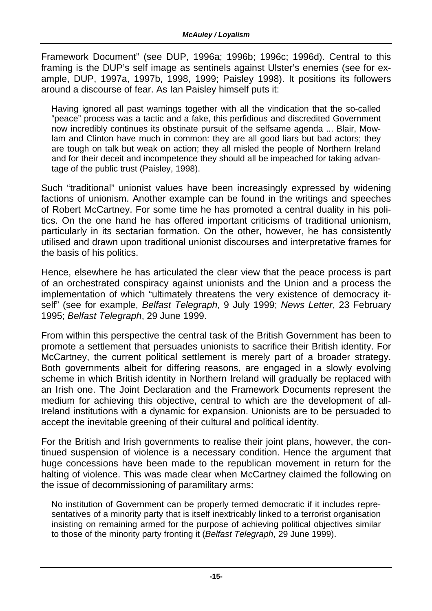Framework Document" (see DUP, 1996a; 1996b; 1996c; 1996d). Central to this framing is the DUP's self image as sentinels against Ulster's enemies (see for example, DUP, 1997a, 1997b, 1998, 1999; Paisley 1998). It positions its followers around a discourse of fear. As Ian Paisley himself puts it:

Having ignored all past warnings together with all the vindication that the so-called "peace" process was a tactic and a fake, this perfidious and discredited Government now incredibly continues its obstinate pursuit of the selfsame agenda ... Blair, Mowlam and Clinton have much in common: they are all good liars but bad actors; they are tough on talk but weak on action; they all misled the people of Northern Ireland and for their deceit and incompetence they should all be impeached for taking advantage of the public trust (Paisley, 1998).

Such "traditional" unionist values have been increasingly expressed by widening factions of unionism. Another example can be found in the writings and speeches of Robert McCartney. For some time he has promoted a central duality in his politics. On the one hand he has offered important criticisms of traditional unionism, particularly in its sectarian formation. On the other, however, he has consistently utilised and drawn upon traditional unionist discourses and interpretative frames for the basis of his politics.

Hence, elsewhere he has articulated the clear view that the peace process is part of an orchestrated conspiracy against unionists and the Union and a process the implementation of which "ultimately threatens the very existence of democracy itself" (see for example, *Belfast Telegraph*, 9 July 1999; *News Letter*, 23 February 1995; *Belfast Telegraph*, 29 June 1999.

From within this perspective the central task of the British Government has been to promote a settlement that persuades unionists to sacrifice their British identity. For McCartney, the current political settlement is merely part of a broader strategy. Both governments albeit for differing reasons, are engaged in a slowly evolving scheme in which British identity in Northern Ireland will gradually be replaced with an Irish one. The Joint Declaration and the Framework Documents represent the medium for achieving this objective, central to which are the development of all-Ireland institutions with a dynamic for expansion. Unionists are to be persuaded to accept the inevitable greening of their cultural and political identity.

For the British and Irish governments to realise their joint plans, however, the continued suspension of violence is a necessary condition. Hence the argument that huge concessions have been made to the republican movement in return for the halting of violence. This was made clear when McCartney claimed the following on the issue of decommissioning of paramilitary arms:

No institution of Government can be properly termed democratic if it includes representatives of a minority party that is itself inextricably linked to a terrorist organisation insisting on remaining armed for the purpose of achieving political objectives similar to those of the minority party fronting it (*Belfast Telegraph*, 29 June 1999).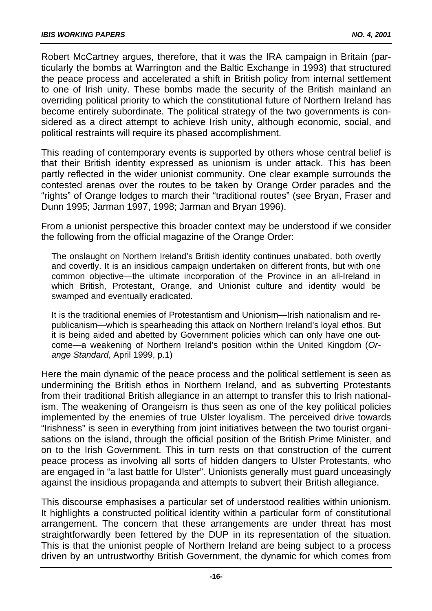Robert McCartney argues, therefore, that it was the IRA campaign in Britain (particularly the bombs at Warrington and the Baltic Exchange in 1993) that structured the peace process and accelerated a shift in British policy from internal settlement to one of Irish unity. These bombs made the security of the British mainland an overriding political priority to which the constitutional future of Northern Ireland has become entirely subordinate. The political strategy of the two governments is considered as a direct attempt to achieve Irish unity, although economic, social, and political restraints will require its phased accomplishment.

This reading of contemporary events is supported by others whose central belief is that their British identity expressed as unionism is under attack. This has been partly reflected in the wider unionist community. One clear example surrounds the contested arenas over the routes to be taken by Orange Order parades and the "rights" of Orange lodges to march their "traditional routes" (see Bryan, Fraser and Dunn 1995; Jarman 1997, 1998; Jarman and Bryan 1996).

From a unionist perspective this broader context may be understood if we consider the following from the official magazine of the Orange Order:

The onslaught on Northern Ireland's British identity continues unabated, both overtly and covertly. It is an insidious campaign undertaken on different fronts, but with one common objective—the ultimate incorporation of the Province in an all-Ireland in which British, Protestant, Orange, and Unionist culture and identity would be swamped and eventually eradicated.

It is the traditional enemies of Protestantism and Unionism—Irish nationalism and republicanism—which is spearheading this attack on Northern Ireland's loyal ethos. But it is being aided and abetted by Government policies which can only have one outcome—a weakening of Northern Ireland's position within the United Kingdom (*Orange Standard*, April 1999, p.1)

Here the main dynamic of the peace process and the political settlement is seen as undermining the British ethos in Northern Ireland, and as subverting Protestants from their traditional British allegiance in an attempt to transfer this to Irish nationalism. The weakening of Orangeism is thus seen as one of the key political policies implemented by the enemies of true Ulster loyalism. The perceived drive towards "Irishness" is seen in everything from joint initiatives between the two tourist organisations on the island, through the official position of the British Prime Minister, and on to the Irish Government. This in turn rests on that construction of the current peace process as involving all sorts of hidden dangers to Ulster Protestants, who are engaged in "a last battle for Ulster". Unionists generally must guard unceasingly against the insidious propaganda and attempts to subvert their British allegiance.

This discourse emphasises a particular set of understood realities within unionism. It highlights a constructed political identity within a particular form of constitutional arrangement. The concern that these arrangements are under threat has most straightforwardly been fettered by the DUP in its representation of the situation. This is that the unionist people of Northern Ireland are being subject to a process driven by an untrustworthy British Government, the dynamic for which comes from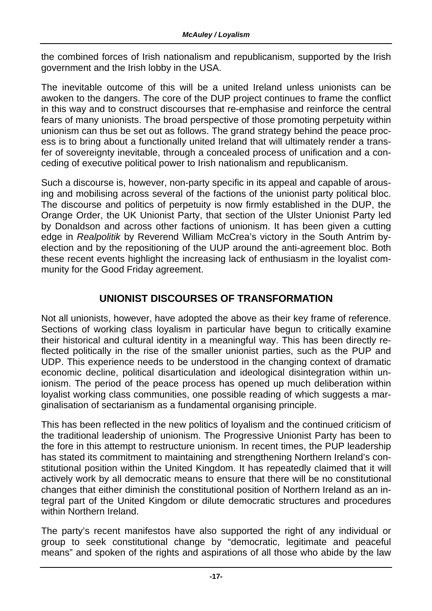the combined forces of Irish nationalism and republicanism, supported by the Irish government and the Irish lobby in the USA.

The inevitable outcome of this will be a united Ireland unless unionists can be awoken to the dangers. The core of the DUP project continues to frame the conflict in this way and to construct discourses that re-emphasise and reinforce the central fears of many unionists. The broad perspective of those promoting perpetuity within unionism can thus be set out as follows. The grand strategy behind the peace process is to bring about a functionally united Ireland that will ultimately render a transfer of sovereignty inevitable, through a concealed process of unification and a conceding of executive political power to Irish nationalism and republicanism.

Such a discourse is, however, non-party specific in its appeal and capable of arousing and mobilising across several of the factions of the unionist party political bloc. The discourse and politics of perpetuity is now firmly established in the DUP, the Orange Order, the UK Unionist Party, that section of the Ulster Unionist Party led by Donaldson and across other factions of unionism. It has been given a cutting edge in *Realpolitik* by Reverend William McCrea's victory in the South Antrim byelection and by the repositioning of the UUP around the anti-agreement bloc. Both these recent events highlight the increasing lack of enthusiasm in the loyalist community for the Good Friday agreement.

# **UNIONIST DISCOURSES OF TRANSFORMATION**

Not all unionists, however, have adopted the above as their key frame of reference. Sections of working class loyalism in particular have begun to critically examine their historical and cultural identity in a meaningful way. This has been directly reflected politically in the rise of the smaller unionist parties, such as the PUP and UDP. This experience needs to be understood in the changing context of dramatic economic decline, political disarticulation and ideological disintegration within unionism. The period of the peace process has opened up much deliberation within loyalist working class communities, one possible reading of which suggests a marginalisation of sectarianism as a fundamental organising principle.

This has been reflected in the new politics of loyalism and the continued criticism of the traditional leadership of unionism. The Progressive Unionist Party has been to the fore in this attempt to restructure unionism. In recent times, the PUP leadership has stated its commitment to maintaining and strengthening Northern Ireland's constitutional position within the United Kingdom. It has repeatedly claimed that it will actively work by all democratic means to ensure that there will be no constitutional changes that either diminish the constitutional position of Northern Ireland as an integral part of the United Kingdom or dilute democratic structures and procedures within Northern Ireland.

The party's recent manifestos have also supported the right of any individual or group to seek constitutional change by "democratic, legitimate and peaceful means" and spoken of the rights and aspirations of all those who abide by the law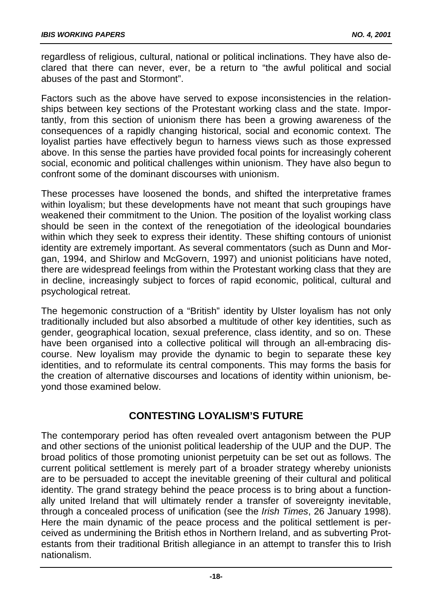regardless of religious, cultural, national or political inclinations. They have also declared that there can never, ever, be a return to "the awful political and social abuses of the past and Stormont".

Factors such as the above have served to expose inconsistencies in the relationships between key sections of the Protestant working class and the state. Importantly, from this section of unionism there has been a growing awareness of the consequences of a rapidly changing historical, social and economic context. The loyalist parties have effectively begun to harness views such as those expressed above. In this sense the parties have provided focal points for increasingly coherent social, economic and political challenges within unionism. They have also begun to confront some of the dominant discourses with unionism.

These processes have loosened the bonds, and shifted the interpretative frames within loyalism; but these developments have not meant that such groupings have weakened their commitment to the Union. The position of the loyalist working class should be seen in the context of the renegotiation of the ideological boundaries within which they seek to express their identity. These shifting contours of unionist identity are extremely important. As several commentators (such as Dunn and Morgan, 1994, and Shirlow and McGovern, 1997) and unionist politicians have noted, there are widespread feelings from within the Protestant working class that they are in decline, increasingly subject to forces of rapid economic, political, cultural and psychological retreat.

The hegemonic construction of a "British" identity by Ulster loyalism has not only traditionally included but also absorbed a multitude of other key identities, such as gender, geographical location, sexual preference, class identity, and so on. These have been organised into a collective political will through an all-embracing discourse. New loyalism may provide the dynamic to begin to separate these key identities, and to reformulate its central components. This may forms the basis for the creation of alternative discourses and locations of identity within unionism, beyond those examined below.

### **CONTESTING LOYALISM'S FUTURE**

The contemporary period has often revealed overt antagonism between the PUP and other sections of the unionist political leadership of the UUP and the DUP. The broad politics of those promoting unionist perpetuity can be set out as follows. The current political settlement is merely part of a broader strategy whereby unionists are to be persuaded to accept the inevitable greening of their cultural and political identity. The grand strategy behind the peace process is to bring about a functionally united Ireland that will ultimately render a transfer of sovereignty inevitable, through a concealed process of unification (see the *Irish Times*, 26 January 1998). Here the main dynamic of the peace process and the political settlement is perceived as undermining the British ethos in Northern Ireland, and as subverting Protestants from their traditional British allegiance in an attempt to transfer this to Irish nationalism.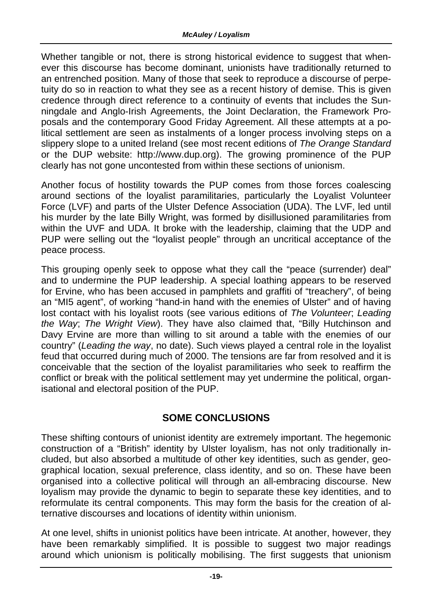Whether tangible or not, there is strong historical evidence to suggest that whenever this discourse has become dominant, unionists have traditionally returned to an entrenched position. Many of those that seek to reproduce a discourse of perpetuity do so in reaction to what they see as a recent history of demise. This is given credence through direct reference to a continuity of events that includes the Sunningdale and Anglo-Irish Agreements, the Joint Declaration, the Framework Proposals and the contemporary Good Friday Agreement. All these attempts at a political settlement are seen as instalments of a longer process involving steps on a slippery slope to a united Ireland (see most recent editions of *The Orange Standard* or the DUP website: http://www.dup.org). The growing prominence of the PUP clearly has not gone uncontested from within these sections of unionism.

Another focus of hostility towards the PUP comes from those forces coalescing around sections of the loyalist paramilitaries, particularly the Loyalist Volunteer Force (LVF) and parts of the Ulster Defence Association (UDA). The LVF, led until his murder by the late Billy Wright, was formed by disillusioned paramilitaries from within the UVF and UDA. It broke with the leadership, claiming that the UDP and PUP were selling out the "loyalist people" through an uncritical acceptance of the peace process.

This grouping openly seek to oppose what they call the "peace (surrender) deal" and to undermine the PUP leadership. A special loathing appears to be reserved for Ervine, who has been accused in pamphlets and graffiti of "treachery", of being an "MI5 agent", of working "hand-in hand with the enemies of Ulster" and of having lost contact with his loyalist roots (see various editions of *The Volunteer*; *Leading the Way*; *The Wright View*). They have also claimed that, "Billy Hutchinson and Davy Ervine are more than willing to sit around a table with the enemies of our country" (*Leading the way*, no date). Such views played a central role in the loyalist feud that occurred during much of 2000. The tensions are far from resolved and it is conceivable that the section of the loyalist paramilitaries who seek to reaffirm the conflict or break with the political settlement may yet undermine the political, organisational and electoral position of the PUP.

# **SOME CONCLUSIONS**

These shifting contours of unionist identity are extremely important. The hegemonic construction of a "British" identity by Ulster loyalism, has not only traditionally included, but also absorbed a multitude of other key identities, such as gender, geographical location, sexual preference, class identity, and so on. These have been organised into a collective political will through an all-embracing discourse. New loyalism may provide the dynamic to begin to separate these key identities, and to reformulate its central components. This may form the basis for the creation of alternative discourses and locations of identity within unionism.

At one level, shifts in unionist politics have been intricate. At another, however, they have been remarkably simplified. It is possible to suggest two major readings around which unionism is politically mobilising. The first suggests that unionism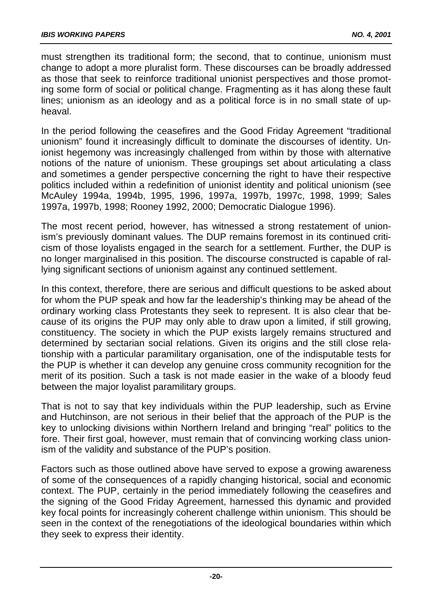must strengthen its traditional form; the second, that to continue, unionism must change to adopt a more pluralist form. These discourses can be broadly addressed as those that seek to reinforce traditional unionist perspectives and those promoting some form of social or political change. Fragmenting as it has along these fault lines; unionism as an ideology and as a political force is in no small state of upheaval.

In the period following the ceasefires and the Good Friday Agreement "traditional unionism" found it increasingly difficult to dominate the discourses of identity. Unionist hegemony was increasingly challenged from within by those with alternative notions of the nature of unionism. These groupings set about articulating a class and sometimes a gender perspective concerning the right to have their respective politics included within a redefinition of unionist identity and political unionism (see McAuley 1994a, 1994b, 1995, 1996, 1997a, 1997b, 1997c, 1998, 1999; Sales 1997a, 1997b, 1998; Rooney 1992, 2000; Democratic Dialogue 1996).

The most recent period, however, has witnessed a strong restatement of unionism's previously dominant values. The DUP remains foremost in its continued criticism of those loyalists engaged in the search for a settlement. Further, the DUP is no longer marginalised in this position. The discourse constructed is capable of rallying significant sections of unionism against any continued settlement.

In this context, therefore, there are serious and difficult questions to be asked about for whom the PUP speak and how far the leadership's thinking may be ahead of the ordinary working class Protestants they seek to represent. It is also clear that because of its origins the PUP may only able to draw upon a limited, if still growing, constituency. The society in which the PUP exists largely remains structured and determined by sectarian social relations. Given its origins and the still close relationship with a particular paramilitary organisation, one of the indisputable tests for the PUP is whether it can develop any genuine cross community recognition for the merit of its position. Such a task is not made easier in the wake of a bloody feud between the major loyalist paramilitary groups.

That is not to say that key individuals within the PUP leadership, such as Ervine and Hutchinson, are not serious in their belief that the approach of the PUP is the key to unlocking divisions within Northern Ireland and bringing "real" politics to the fore. Their first goal, however, must remain that of convincing working class unionism of the validity and substance of the PUP's position.

Factors such as those outlined above have served to expose a growing awareness of some of the consequences of a rapidly changing historical, social and economic context. The PUP, certainly in the period immediately following the ceasefires and the signing of the Good Friday Agreement, harnessed this dynamic and provided key focal points for increasingly coherent challenge within unionism. This should be seen in the context of the renegotiations of the ideological boundaries within which they seek to express their identity.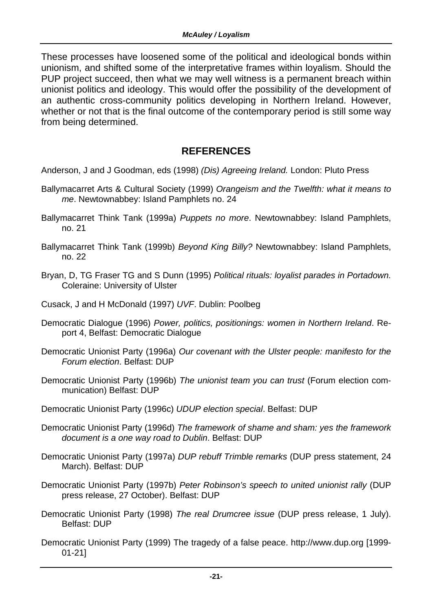These processes have loosened some of the political and ideological bonds within unionism, and shifted some of the interpretative frames within loyalism. Should the PUP project succeed, then what we may well witness is a permanent breach within unionist politics and ideology. This would offer the possibility of the development of an authentic cross-community politics developing in Northern Ireland. However, whether or not that is the final outcome of the contemporary period is still some way from being determined.

### **REFERENCES**

Anderson, J and J Goodman, eds (1998) *(Dis) Agreeing Ireland.* London: Pluto Press

- Ballymacarret Arts & Cultural Society (1999) *Orangeism and the Twelfth: what it means to me*. Newtownabbey: Island Pamphlets no. 24
- Ballymacarret Think Tank (1999a) *Puppets no more*. Newtownabbey: Island Pamphlets, no. 21
- Ballymacarret Think Tank (1999b) *Beyond King Billy?* Newtownabbey: Island Pamphlets, no. 22
- Bryan, D, TG Fraser TG and S Dunn (1995) *Political rituals: loyalist parades in Portadown.*  Coleraine: University of Ulster
- Cusack, J and H McDonald (1997) *UVF*. Dublin: Poolbeg
- Democratic Dialogue (1996) *Power, politics, positionings: women in Northern Ireland*. Report 4, Belfast: Democratic Dialogue
- Democratic Unionist Party (1996a) *Our covenant with the Ulster people: manifesto for the Forum election*. Belfast: DUP
- Democratic Unionist Party (1996b) *The unionist team you can trust* (Forum election communication) Belfast: DUP
- Democratic Unionist Party (1996c) *UDUP election special*. Belfast: DUP
- Democratic Unionist Party (1996d) *The framework of shame and sham: yes the framework document is a one way road to Dublin*. Belfast: DUP
- Democratic Unionist Party (1997a) *DUP rebuff Trimble remarks* (DUP press statement, 24 March). Belfast: DUP
- Democratic Unionist Party (1997b) *Peter Robinson's speech to united unionist rally* (DUP press release, 27 October). Belfast: DUP
- Democratic Unionist Party (1998) *The real Drumcree issue* (DUP press release, 1 July). Belfast: DUP
- Democratic Unionist Party (1999) The tragedy of a false peace. http://www.dup.org [1999- 01-21]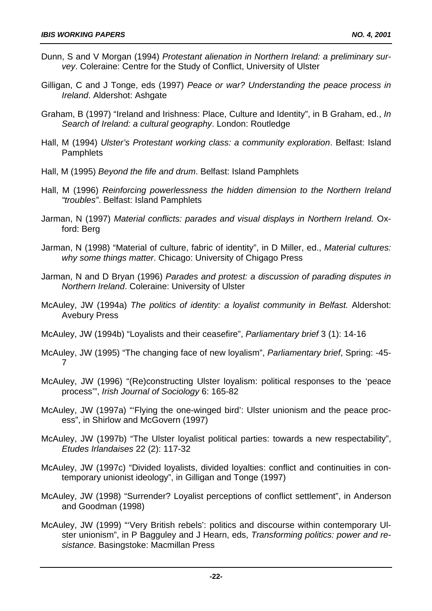- Dunn, S and V Morgan (1994) *Protestant alienation in Northern Ireland: a preliminary survey*. Coleraine: Centre for the Study of Conflict, University of Ulster
- Gilligan, C and J Tonge, eds (1997) *Peace or war? Understanding the peace process in Ireland*. Aldershot: Ashgate
- Graham, B (1997) "Ireland and Irishness: Place, Culture and Identity", in B Graham, ed., *In Search of Ireland: a cultural geography*. London: Routledge
- Hall, M (1994) *Ulster's Protestant working class: a community exploration*. Belfast: Island **Pamphlets**
- Hall, M (1995) *Beyond the fife and drum*. Belfast: Island Pamphlets
- Hall, M (1996) *Reinforcing powerlessness the hidden dimension to the Northern Ireland "troubles"*. Belfast: Island Pamphlets
- Jarman, N (1997) *Material conflicts: parades and visual displays in Northern Ireland.* Oxford: Berg
- Jarman, N (1998) "Material of culture, fabric of identity", in D Miller, ed., *Material cultures: why some things matter*. Chicago: University of Chigago Press
- Jarman, N and D Bryan (1996) *Parades and protest: a discussion of parading disputes in Northern Ireland*. Coleraine: University of Ulster
- McAuley, JW (1994a) *The politics of identity: a loyalist community in Belfast.* Aldershot: Avebury Press
- McAuley, JW (1994b) "Loyalists and their ceasefire", *Parliamentary brief* 3 (1): 14-16
- McAuley, JW (1995) "The changing face of new loyalism", *Parliamentary brief*, Spring: -45- 7
- McAuley, JW (1996) "(Re)constructing Ulster loyalism: political responses to the 'peace process'", *Irish Journal of Sociology* 6: 165-82
- McAuley, JW (1997a) "'Flying the one-winged bird': Ulster unionism and the peace process", in Shirlow and McGovern (1997)
- McAuley, JW (1997b) "The Ulster loyalist political parties: towards a new respectability", *Etudes Irlandaises* 22 (2): 117-32
- McAuley, JW (1997c) "Divided loyalists, divided loyalties: conflict and continuities in contemporary unionist ideology", in Gilligan and Tonge (1997)
- McAuley, JW (1998) "Surrender? Loyalist perceptions of conflict settlement", in Anderson and Goodman (1998)
- McAuley, JW (1999) "'Very British rebels': politics and discourse within contemporary Ulster unionism", in P Bagguley and J Hearn, eds, *Transforming politics: power and resistance*. Basingstoke: Macmillan Press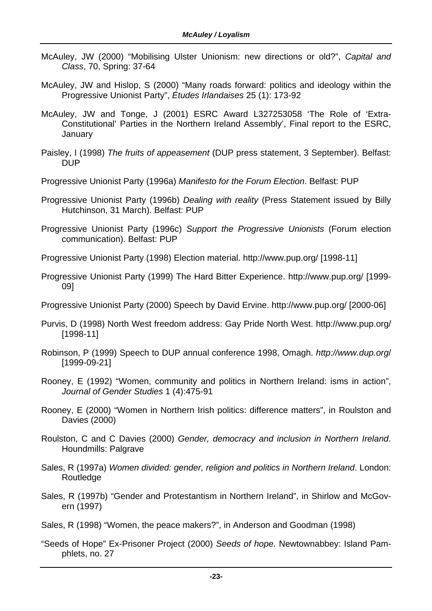- McAuley, JW (2000) "Mobilising Ulster Unionism: new directions or old?", *Capital and Class*, 70, Spring: 37-64
- McAuley, JW and Hislop, S (2000) "Many roads forward: politics and ideology within the Progressive Unionist Party", *Études Irlandaises* 25 (1): 173-92
- McAuley, JW and Tonge, J (2001) ESRC Award L327253058 'The Role of 'Extra-Constitutional' Parties in the Northern Ireland Assembly', Final report to the ESRC, **January**
- Paisley, I (1998) *The fruits of appeasement* (DUP press statement, 3 September). Belfast: **DUP**
- Progressive Unionist Party (1996a) *Manifesto for the Forum Election*. Belfast: PUP
- Progressive Unionist Party (1996b) *Dealing with reality* (Press Statement issued by Billy Hutchinson, 31 March). Belfast: PUP
- Progressive Unionist Party (1996c) *Support the Progressive Unionists* (Forum election communication). Belfast: PUP
- Progressive Unionist Party (1998) Election material. http://www.pup.org/ [1998-11]
- Progressive Unionist Party (1999) The Hard Bitter Experience. http://www.pup.org/ [1999- 09]
- Progressive Unionist Party (2000) Speech by David Ervine. http://www.pup.org/ [2000-06]
- Purvis, D (1998) North West freedom address: Gay Pride North West. http://www.pup.org/ [1998-11]
- Robinson, P (1999) Speech to DUP annual conference 1998, Omagh. *http://www.dup.org*/ [1999-09-21]
- Rooney, E (1992) "Women, community and politics in Northern Ireland: isms in action", *Journal of Gender Studies* 1 (4):475-91
- Rooney, E (2000) "Women in Northern Irish politics: difference matters", in Roulston and Davies (2000)
- Roulston, C and C Davies (2000) *Gender, democracy and inclusion in Northern Ireland*. Houndmills: Palgrave
- Sales, R (1997a) *Women divided: gender, religion and politics in Northern Ireland*. London: **Routledge**
- Sales, R (1997b) "Gender and Protestantism in Northern Ireland", in Shirlow and McGovern (1997)
- Sales, R (1998) "Women, the peace makers?", in Anderson and Goodman (1998)
- "Seeds of Hope" Ex-Prisoner Project (2000) *Seeds of hope.* Newtownabbey: Island Pamphlets, no. 27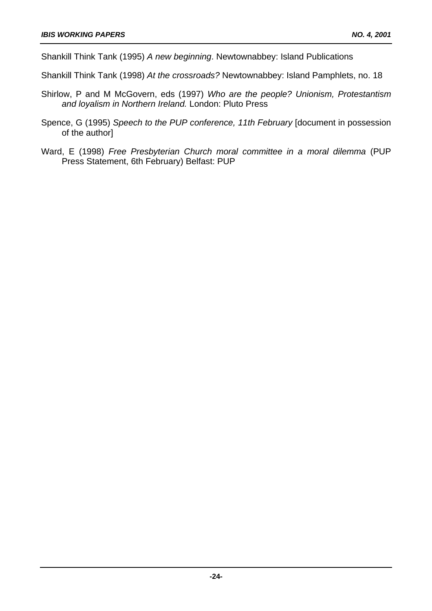Shankill Think Tank (1995) *A new beginning*. Newtownabbey: Island Publications

Shankill Think Tank (1998) *At the crossroads?* Newtownabbey: Island Pamphlets, no. 18

- Shirlow, P and M McGovern, eds (1997) *Who are the people? Unionism, Protestantism and loyalism in Northern Ireland.* London: Pluto Press
- Spence, G (1995) *Speech to the PUP conference, 11th February* [document in possession of the author]
- Ward, E (1998) *Free Presbyterian Church moral committee in a moral dilemma* (PUP Press Statement, 6th February) Belfast: PUP